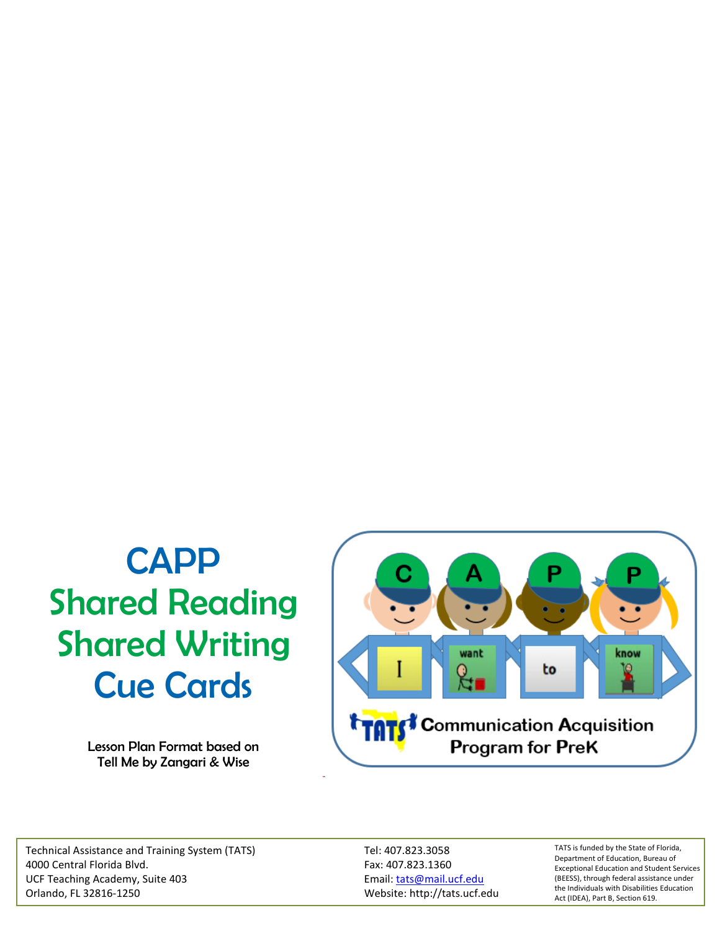## CAPP Shared Reading Shared Writing Cue Cards

Lesson Plan Format based on Tell Me by Zangari & Wise



Technical Assistance and Training System (TATS) Tel: 407.823.3058 4000 Central Florida Blvd. Fax: 407.823.1360 UCF Teaching Academy, Suite 403 **Email: [tats@mail.ucf.edu](mailto:tats@mail.ucf.edu)** Orlando, FL 32816-1250 Website: http://tats.ucf.edu

TATS is funded by the State of Florida, Department of Education, Bureau of Exceptional Education and Student Services (BEESS), through federal assistance under the Individuals with Disabilities Education Act (IDEA), Part B, Section 619.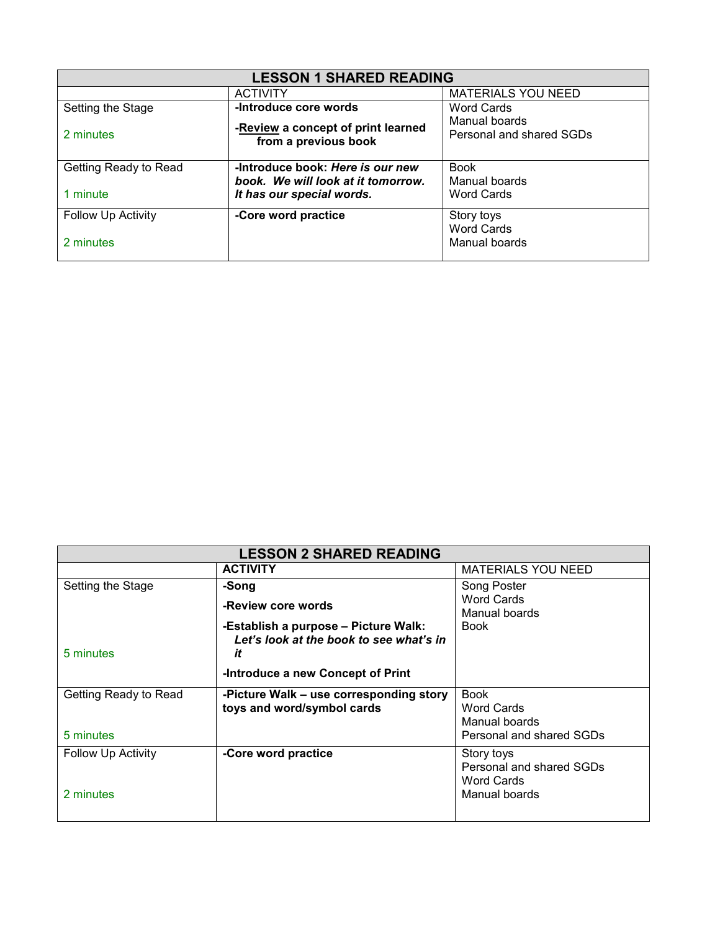| <b>LESSON 1 SHARED READING</b> |                                    |                                    |
|--------------------------------|------------------------------------|------------------------------------|
|                                | <b>ACTIVITY</b>                    | <b>MATERIALS YOU NEED</b>          |
| Setting the Stage              | -Introduce core words              | <b>Word Cards</b>                  |
|                                | -Review a concept of print learned | Manual boards                      |
| 2 minutes                      | from a previous book               | Personal and shared SGDs           |
| Getting Ready to Read          | -Introduce book: Here is our new   | <b>Book</b>                        |
|                                | book. We will look at it tomorrow. | Manual boards                      |
| 1 minute                       | It has our special words.          | <b>Word Cards</b>                  |
| Follow Up Activity             | -Core word practice                | Story toys                         |
| 2 minutes                      |                                    | <b>Word Cards</b><br>Manual boards |

| <b>LESSON 2 SHARED READING</b> |                                         |                                               |
|--------------------------------|-----------------------------------------|-----------------------------------------------|
|                                | <b>ACTIVITY</b>                         | <b>MATERIALS YOU NEED</b>                     |
| Setting the Stage              | -Song                                   | Song Poster                                   |
|                                | -Review core words                      | <b>Word Cards</b>                             |
|                                | -Establish a purpose - Picture Walk:    | Manual boards<br><b>Book</b>                  |
|                                | Let's look at the book to see what's in |                                               |
| 5 minutes                      | it                                      |                                               |
|                                | -Introduce a new Concept of Print       |                                               |
| Getting Ready to Read          | -Picture Walk - use corresponding story | <b>Book</b>                                   |
|                                | toys and word/symbol cards              | <b>Word Cards</b>                             |
| 5 minutes                      |                                         | Manual boards<br>Personal and shared SGDs     |
|                                |                                         |                                               |
| Follow Up Activity             | -Core word practice                     | Story toys                                    |
|                                |                                         | Personal and shared SGDs<br><b>Word Cards</b> |
| 2 minutes                      |                                         | Manual boards                                 |
|                                |                                         |                                               |
|                                |                                         |                                               |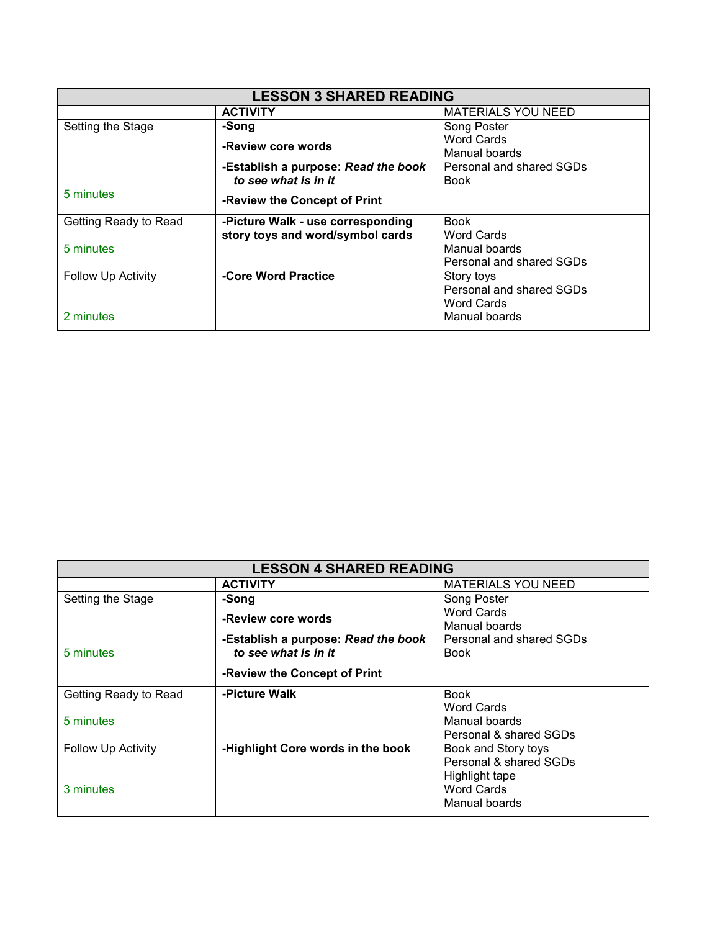| <b>LESSON 3 SHARED READING</b> |                                     |                             |
|--------------------------------|-------------------------------------|-----------------------------|
|                                | <b>ACTIVITY</b>                     | <b>MATERIALS YOU NEED</b>   |
| Setting the Stage              | -Song                               | Song Poster                 |
|                                | -Review core words                  | Word Cards<br>Manual boards |
|                                | -Establish a purpose: Read the book | Personal and shared SGDs    |
|                                | to see what is in it                | <b>Book</b>                 |
| 5 minutes                      | -Review the Concept of Print        |                             |
| Getting Ready to Read          | -Picture Walk - use corresponding   | <b>Book</b>                 |
|                                | story toys and word/symbol cards    | Word Cards                  |
| 5 minutes                      |                                     | Manual boards               |
|                                |                                     | Personal and shared SGDs    |
| <b>Follow Up Activity</b>      | -Core Word Practice                 | Story toys                  |
|                                |                                     | Personal and shared SGDs    |
|                                |                                     | <b>Word Cards</b>           |
| 2 minutes                      |                                     | Manual boards               |

| <b>LESSON 4 SHARED READING</b>         |                                                             |                                                                                                |
|----------------------------------------|-------------------------------------------------------------|------------------------------------------------------------------------------------------------|
|                                        | <b>ACTIVITY</b>                                             | <b>MATERIALS YOU NEED</b>                                                                      |
| Setting the Stage                      | -Song                                                       | Song Poster                                                                                    |
|                                        | -Review core words                                          | <b>Word Cards</b><br>Manual boards                                                             |
| 5 minutes                              | -Establish a purpose: Read the book<br>to see what is in it | Personal and shared SGDs<br><b>Book</b>                                                        |
|                                        | -Review the Concept of Print                                |                                                                                                |
| Getting Ready to Read                  | -Picture Walk                                               | <b>Book</b>                                                                                    |
| 5 minutes                              |                                                             | Word Cards<br>Manual boards<br>Personal & shared SGDs                                          |
| <b>Follow Up Activity</b><br>3 minutes | -Highlight Core words in the book                           | Book and Story toys<br>Personal & shared SGDs<br>Highlight tape<br>Word Cards<br>Manual boards |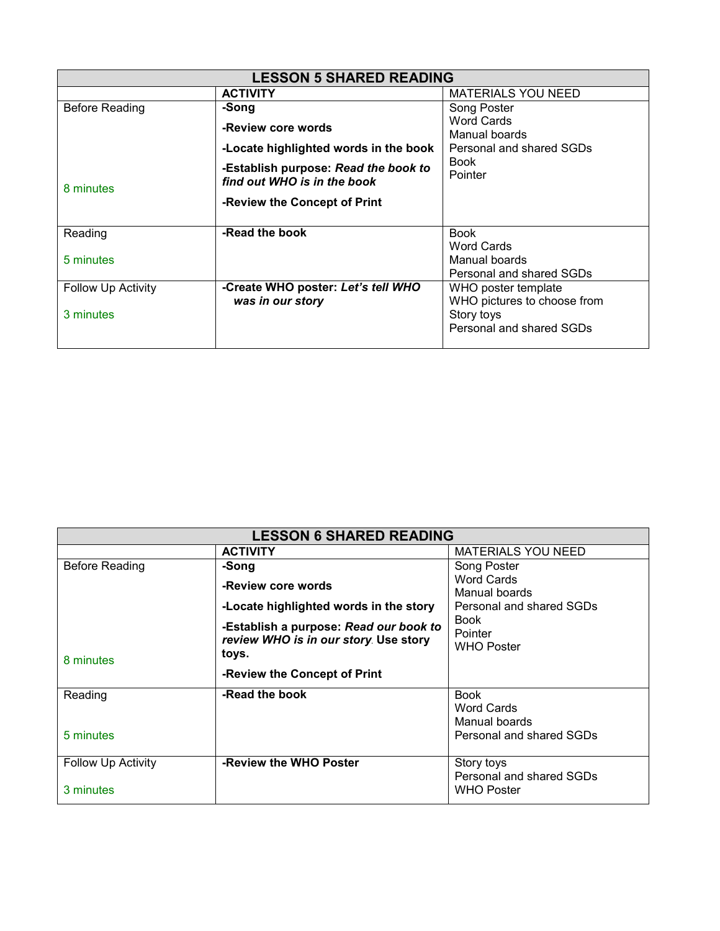| <b>LESSON 5 SHARED READING</b> |                                                                     |                                        |
|--------------------------------|---------------------------------------------------------------------|----------------------------------------|
|                                | <b>ACTIVITY</b>                                                     | <b>MATERIALS YOU NEED</b>              |
| <b>Before Reading</b>          | -Song                                                               | Song Poster                            |
|                                | -Review core words                                                  | <b>Word Cards</b>                      |
|                                |                                                                     | Manual boards                          |
|                                | -Locate highlighted words in the book                               | Personal and shared SGDs               |
| 8 minutes                      | -Establish purpose: Read the book to<br>find out WHO is in the book | <b>Book</b><br>Pointer                 |
|                                | -Review the Concept of Print                                        |                                        |
| Reading                        | -Read the book                                                      | <b>Book</b>                            |
|                                |                                                                     | <b>Word Cards</b>                      |
| 5 minutes                      |                                                                     | Manual boards                          |
|                                |                                                                     | Personal and shared SGDs               |
| Follow Up Activity             | -Create WHO poster: Let's tell WHO                                  | WHO poster template                    |
|                                | was in our story                                                    | WHO pictures to choose from            |
| 3 minutes                      |                                                                     | Story toys<br>Personal and shared SGDs |
|                                |                                                                     |                                        |

| <b>LESSON 6 SHARED READING</b>  |                                                                                          |                                                                               |
|---------------------------------|------------------------------------------------------------------------------------------|-------------------------------------------------------------------------------|
|                                 | <b>ACTIVITY</b>                                                                          | <b>MATERIALS YOU NEED</b>                                                     |
| <b>Before Reading</b>           | -Song                                                                                    | Song Poster                                                                   |
|                                 | -Review core words                                                                       | <b>Word Cards</b><br>Manual boards                                            |
|                                 | -Locate highlighted words in the story                                                   | Personal and shared SGDs                                                      |
| 8 minutes                       | -Establish a purpose: Read our book to<br>review WHO is in our story. Use story<br>toys. | <b>Book</b><br>Pointer<br><b>WHO Poster</b>                                   |
|                                 | -Review the Concept of Print                                                             |                                                                               |
| Reading<br>5 minutes            | -Read the book                                                                           | <b>Book</b><br><b>Word Cards</b><br>Manual boards<br>Personal and shared SGDs |
|                                 |                                                                                          |                                                                               |
| Follow Up Activity<br>3 minutes | -Review the WHO Poster                                                                   | Story toys<br>Personal and shared SGDs<br><b>WHO Poster</b>                   |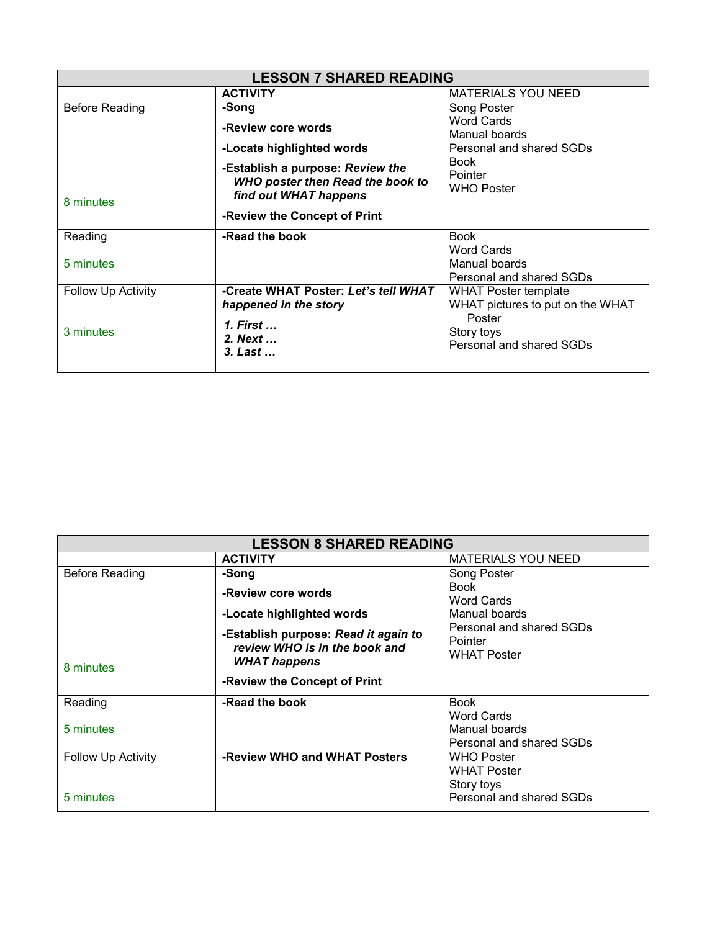| <b>LESSON 7 SHARED READING</b> |                                         |                                  |
|--------------------------------|-----------------------------------------|----------------------------------|
|                                | <b>ACTIVITY</b>                         | <b>MATERIALS YOU NEED</b>        |
| Before Reading                 | -Song                                   | Song Poster                      |
|                                | -Review core words                      | <b>Word Cards</b>                |
|                                |                                         | Manual boards                    |
|                                | -Locate highlighted words               | Personal and shared SGDs         |
|                                | -Establish a purpose: Review the        | <b>Book</b>                      |
|                                | <b>WHO poster then Read the book to</b> | Pointer                          |
| 8 minutes                      | find out WHAT happens                   | <b>WHO Poster</b>                |
|                                | -Review the Concept of Print            |                                  |
|                                |                                         |                                  |
| Reading                        | -Read the book                          | <b>Book</b>                      |
|                                |                                         | <b>Word Cards</b>                |
| 5 minutes                      |                                         | Manual boards                    |
|                                |                                         | Personal and shared SGDs         |
| <b>Follow Up Activity</b>      | -Create WHAT Poster: Let's tell WHAT    | <b>WHAT Poster template</b>      |
|                                | happened in the story                   | WHAT pictures to put on the WHAT |
|                                | 1. First                                | Poster                           |
| 3 minutes                      | 2. Next                                 | Story toys                       |
|                                | 3. Last                                 | Personal and shared SGDs         |
|                                |                                         |                                  |

| <b>LESSON 8 SHARED READING</b> |                                                                                              |                                                           |
|--------------------------------|----------------------------------------------------------------------------------------------|-----------------------------------------------------------|
|                                | <b>ACTIVITY</b>                                                                              | <b>MATERIALS YOU NEED</b>                                 |
| <b>Before Reading</b>          | -Song                                                                                        | Song Poster                                               |
|                                | -Review core words<br>-Locate highlighted words                                              | <b>Book</b><br><b>Word Cards</b><br>Manual boards         |
| 8 minutes                      | -Establish purpose: Read it again to<br>review WHO is in the book and<br><b>WHAT happens</b> | Personal and shared SGDs<br>Pointer<br><b>WHAT Poster</b> |
|                                | -Review the Concept of Print                                                                 |                                                           |
| Reading                        | -Read the book                                                                               | <b>Book</b><br><b>Word Cards</b>                          |
| 5 minutes                      |                                                                                              | Manual boards<br>Personal and shared SGDs                 |
| <b>Follow Up Activity</b>      | -Review WHO and WHAT Posters                                                                 | <b>WHO Poster</b><br><b>WHAT Poster</b><br>Story toys     |
| 5 minutes                      |                                                                                              | Personal and shared SGDs                                  |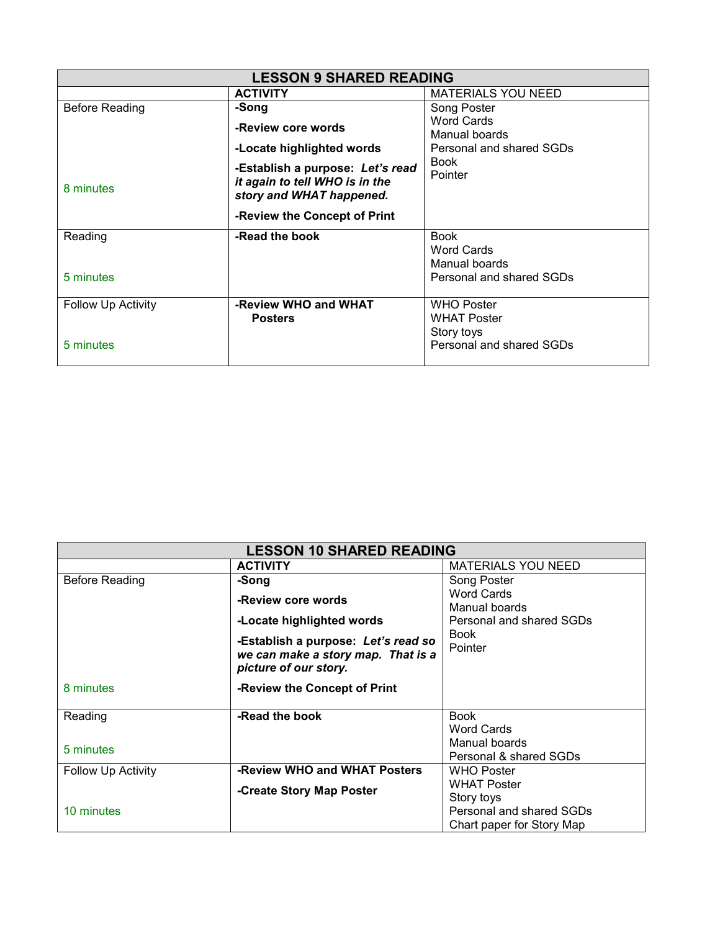| <b>LESSON 9 SHARED READING</b> |                                                                                                |                                                       |
|--------------------------------|------------------------------------------------------------------------------------------------|-------------------------------------------------------|
|                                | <b>ACTIVITY</b>                                                                                | <b>MATERIALS YOU NEED</b>                             |
| Before Reading                 | -Song                                                                                          | Song Poster                                           |
|                                | -Review core words                                                                             | <b>Word Cards</b><br>Manual boards                    |
|                                | -Locate highlighted words                                                                      | Personal and shared SGDs                              |
| 8 minutes                      | -Establish a purpose: Let's read<br>it again to tell WHO is in the<br>story and WHAT happened. | <b>Book</b><br>Pointer                                |
|                                | -Review the Concept of Print                                                                   |                                                       |
| Reading                        | -Read the book                                                                                 | <b>Book</b><br><b>Word Cards</b><br>Manual boards     |
| 5 minutes                      |                                                                                                | Personal and shared SGDs                              |
| <b>Follow Up Activity</b>      | -Review WHO and WHAT<br><b>Posters</b>                                                         | <b>WHO Poster</b><br><b>WHAT Poster</b><br>Story toys |
| 5 minutes                      |                                                                                                | Personal and shared SGDs                              |

| <b>LESSON 10 SHARED READING</b> |                                                                                                    |                                    |
|---------------------------------|----------------------------------------------------------------------------------------------------|------------------------------------|
|                                 | <b>ACTIVITY</b>                                                                                    | <b>MATERIALS YOU NEED</b>          |
| <b>Before Reading</b>           | -Song                                                                                              | Song Poster                        |
|                                 | -Review core words                                                                                 | <b>Word Cards</b><br>Manual boards |
|                                 | -Locate highlighted words                                                                          | Personal and shared SGDs           |
|                                 | -Establish a purpose: Let's read so<br>we can make a story map. That is a<br>picture of our story. | <b>Book</b><br>Pointer             |
| 8 minutes                       | -Review the Concept of Print                                                                       |                                    |
| Reading                         | -Read the book                                                                                     | <b>Book</b>                        |
|                                 |                                                                                                    | <b>Word Cards</b>                  |
| 5 minutes                       |                                                                                                    | Manual boards                      |
|                                 |                                                                                                    | Personal & shared SGDs             |
| <b>Follow Up Activity</b>       | -Review WHO and WHAT Posters                                                                       | <b>WHO Poster</b>                  |
|                                 | -Create Story Map Poster                                                                           | <b>WHAT Poster</b>                 |
|                                 |                                                                                                    | Story toys                         |
| 10 minutes                      |                                                                                                    | Personal and shared SGDs           |
|                                 |                                                                                                    | Chart paper for Story Map          |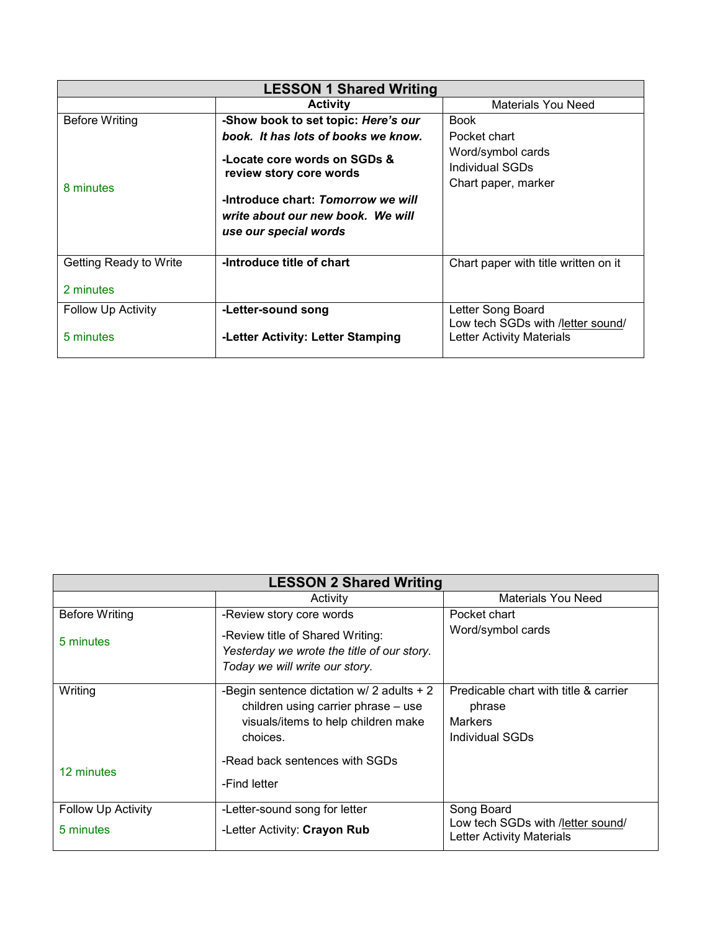| <b>LESSON 1 Shared Writing</b> |                                     |                                      |
|--------------------------------|-------------------------------------|--------------------------------------|
|                                | <b>Activity</b>                     | Materials You Need                   |
| <b>Before Writing</b>          | -Show book to set topic: Here's our | <b>Book</b>                          |
|                                | book. It has lots of books we know. | Pocket chart                         |
|                                | -Locate core words on SGDs &        | Word/symbol cards                    |
|                                | review story core words             | Individual SGDs                      |
| 8 minutes                      |                                     | Chart paper, marker                  |
|                                | -Introduce chart: Tomorrow we will  |                                      |
|                                | write about our new book. We will   |                                      |
|                                | use our special words               |                                      |
|                                |                                     |                                      |
| Getting Ready to Write         | -Introduce title of chart           | Chart paper with title written on it |
|                                |                                     |                                      |
| 2 minutes                      |                                     |                                      |
| <b>Follow Up Activity</b>      | -Letter-sound song                  | Letter Song Board                    |
|                                |                                     | Low tech SGDs with / letter sound/   |
| 5 minutes                      | -Letter Activity: Letter Stamping   | <b>Letter Activity Materials</b>     |
|                                |                                     |                                      |

| <b>LESSON 2 Shared Writing</b> |                                                                                                                                      |                                                                                      |
|--------------------------------|--------------------------------------------------------------------------------------------------------------------------------------|--------------------------------------------------------------------------------------|
|                                | Activity                                                                                                                             | Materials You Need                                                                   |
| <b>Before Writing</b>          | -Review story core words                                                                                                             | Pocket chart                                                                         |
| 5 minutes                      | -Review title of Shared Writing:<br>Yesterday we wrote the title of our story.<br>Today we will write our story.                     | Word/symbol cards                                                                    |
| Writing                        | -Begin sentence dictation $w/2$ adults + 2<br>children using carrier phrase - use<br>visuals/items to help children make<br>choices. | Predicable chart with title & carrier<br>phrase<br><b>Markers</b><br>Individual SGDs |
| 12 minutes                     | -Read back sentences with SGDs<br>-Find letter                                                                                       |                                                                                      |
| Follow Up Activity             | -Letter-sound song for letter                                                                                                        | Song Board                                                                           |
| 5 minutes                      | -Letter Activity: Crayon Rub                                                                                                         | Low tech SGDs with / letter sound/<br><b>Letter Activity Materials</b>               |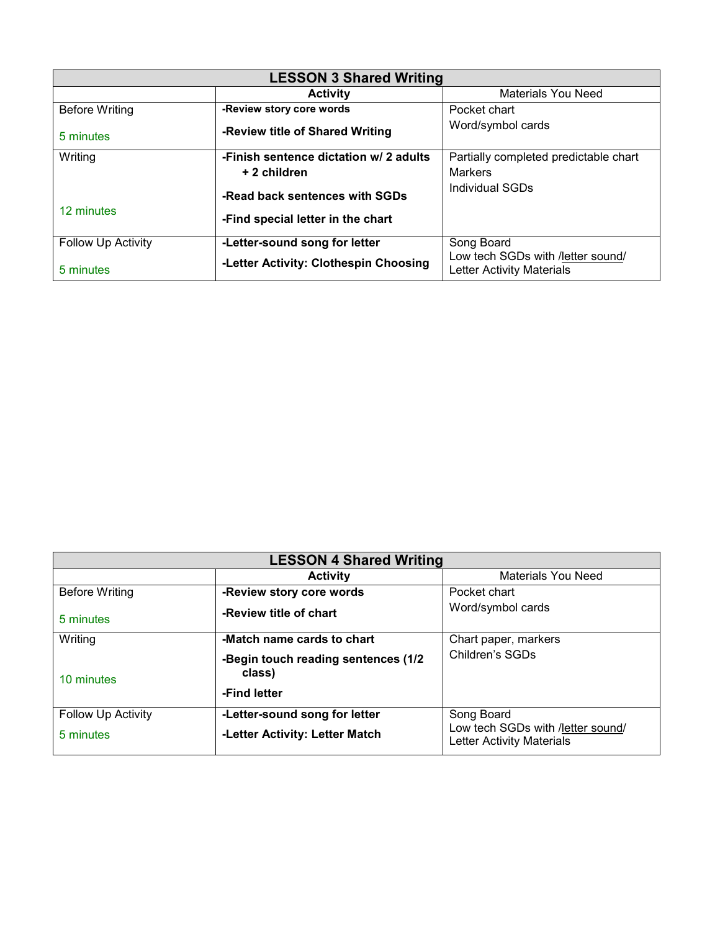| <b>LESSON 3 Shared Writing</b> |                                        |                                                                        |
|--------------------------------|----------------------------------------|------------------------------------------------------------------------|
|                                | <b>Activity</b>                        | Materials You Need                                                     |
| <b>Before Writing</b>          | -Review story core words               | Pocket chart                                                           |
| 5 minutes                      | -Review title of Shared Writing        | Word/symbol cards                                                      |
| Writing                        | -Finish sentence dictation w/ 2 adults | Partially completed predictable chart                                  |
|                                | +2 children                            | <b>Markers</b>                                                         |
|                                | -Read back sentences with SGDs         | Individual SGDs                                                        |
| 12 minutes                     | -Find special letter in the chart      |                                                                        |
| Follow Up Activity             | -Letter-sound song for letter          | Song Board                                                             |
| 5 minutes                      | -Letter Activity: Clothespin Choosing  | Low tech SGDs with / letter sound/<br><b>Letter Activity Materials</b> |

| <b>LESSON 4 Shared Writing</b> |                                               |                                                                |
|--------------------------------|-----------------------------------------------|----------------------------------------------------------------|
|                                | <b>Activity</b>                               | Materials You Need                                             |
| <b>Before Writing</b>          | -Review story core words                      | Pocket chart                                                   |
| 5 minutes                      | -Review title of chart                        | Word/symbol cards                                              |
| Writing                        | -Match name cards to chart                    | Chart paper, markers                                           |
| 10 minutes                     | -Begin touch reading sentences (1/2<br>class) | Children's SGDs                                                |
|                                | -Find letter                                  |                                                                |
| Follow Up Activity             | -Letter-sound song for letter                 | Song Board                                                     |
| 5 minutes                      | -Letter Activity: Letter Match                | Low tech SGDs with /letter sound/<br>Letter Activity Materials |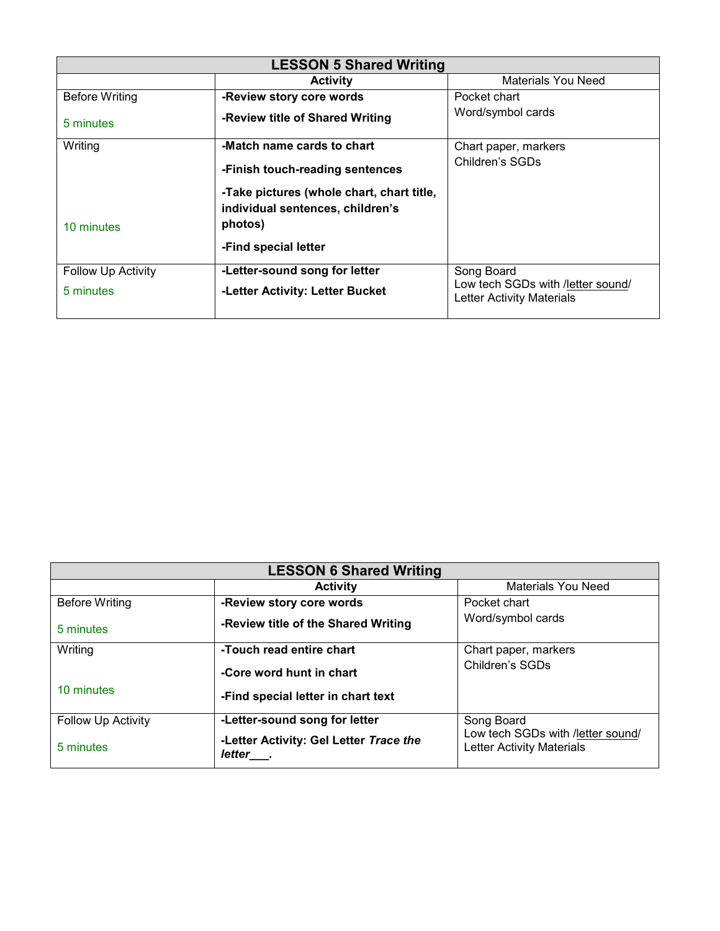| <b>LESSON 5 Shared Writing</b> |                                                                                          |                                                                |
|--------------------------------|------------------------------------------------------------------------------------------|----------------------------------------------------------------|
|                                | <b>Activity</b>                                                                          | Materials You Need                                             |
| <b>Before Writing</b>          | -Review story core words                                                                 | Pocket chart                                                   |
| 5 minutes                      | -Review title of Shared Writing                                                          | Word/symbol cards                                              |
| Writing                        | -Match name cards to chart                                                               | Chart paper, markers                                           |
|                                | -Finish touch-reading sentences                                                          | Children's SGDs                                                |
| 10 minutes                     | -Take pictures (whole chart, chart title,<br>individual sentences, children's<br>photos) |                                                                |
|                                | -Find special letter                                                                     |                                                                |
| Follow Up Activity             | -Letter-sound song for letter                                                            | Song Board                                                     |
| 5 minutes                      | -Letter Activity: Letter Bucket                                                          | Low tech SGDs with /letter sound/<br>Letter Activity Materials |

| <b>LESSON 6 Shared Writing</b> |                                                    |                                                                |
|--------------------------------|----------------------------------------------------|----------------------------------------------------------------|
|                                | <b>Activity</b>                                    | Materials You Need                                             |
| <b>Before Writing</b>          | -Review story core words                           | Pocket chart                                                   |
| 5 minutes                      | -Review title of the Shared Writing                | Word/symbol cards                                              |
| Writing                        | -Touch read entire chart                           | Chart paper, markers                                           |
|                                | -Core word hunt in chart                           | Children's SGDs                                                |
| 10 minutes                     | -Find special letter in chart text                 |                                                                |
| Follow Up Activity             | -Letter-sound song for letter                      | Song Board                                                     |
| 5 minutes                      | -Letter Activity: Gel Letter Trace the<br>letter . | Low tech SGDs with /letter sound/<br>Letter Activity Materials |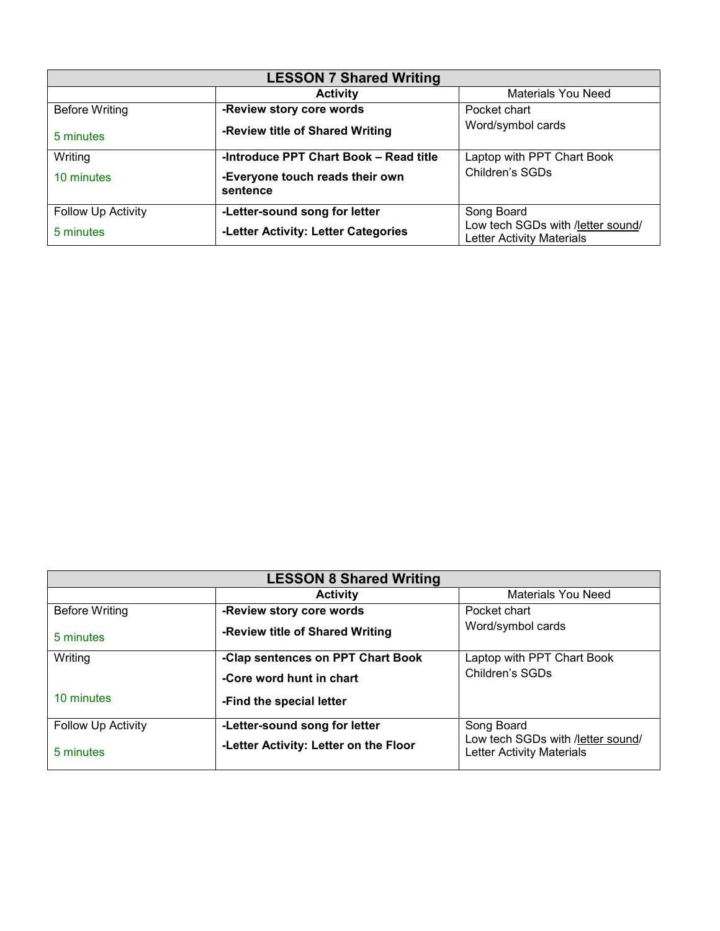| <b>LESSON 7 Shared Writing</b> |                                             |                                                                       |
|--------------------------------|---------------------------------------------|-----------------------------------------------------------------------|
|                                | <b>Activity</b>                             | <b>Materials You Need</b>                                             |
| <b>Before Writing</b>          | -Review story core words                    | Pocket chart                                                          |
| 5 minutes                      | -Review title of Shared Writing             | Word/symbol cards                                                     |
| Writing                        | -Introduce PPT Chart Book - Read title      | Laptop with PPT Chart Book                                            |
| 10 minutes                     | -Everyone touch reads their own<br>sentence | <b>Children's SGDs</b>                                                |
| Follow Up Activity             | -Letter-sound song for letter               | Song Board                                                            |
| 5 minutes                      | -Letter Activity: Letter Categories         | Low tech SGDs with /letter sound/<br><b>Letter Activity Materials</b> |

| <b>LESSON 8 Shared Writing</b> |                                       |                                                                |
|--------------------------------|---------------------------------------|----------------------------------------------------------------|
|                                | <b>Activity</b>                       | <b>Materials You Need</b>                                      |
| <b>Before Writing</b>          | -Review story core words              | Pocket chart                                                   |
| 5 minutes                      | -Review title of Shared Writing       | Word/symbol cards                                              |
| Writing                        | -Clap sentences on PPT Chart Book     | Laptop with PPT Chart Book                                     |
|                                | -Core word hunt in chart              | Children's SGDs                                                |
| 10 minutes                     | -Find the special letter              |                                                                |
| Follow Up Activity             | -Letter-sound song for letter         | Song Board                                                     |
| 5 minutes                      | -Letter Activity: Letter on the Floor | Low tech SGDs with /letter sound/<br>Letter Activity Materials |